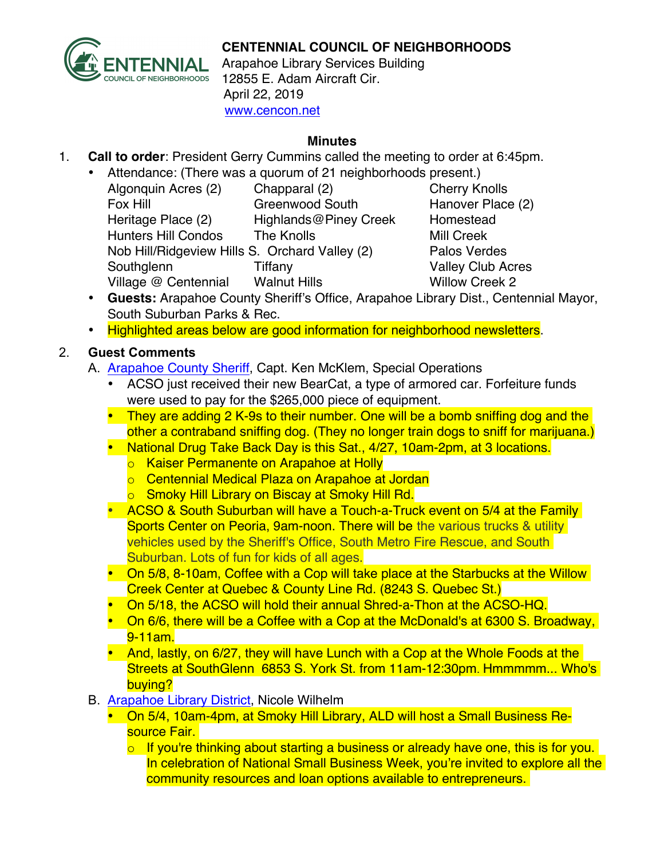

## **CENTENNIAL COUNCIL OF NEIGHBORHOODS**

Arapahoe Library Services Building 12855 E. Adam Aircraft Cir. April 22, 2019 www.cencon.net

## **Minutes**

- 1. **Call to order**: President Gerry Cummins called the meeting to order at 6:45pm.
	- Attendance: (There was a quorum of 21 neighborhoods present.) Algonquin Acres (2) Chapparal (2) Cherry Knolls Fox Hill **Greenwood South** Hanover Place (2) Heritage Place (2) Highlands@Piney Creek Homestead Hunters Hill Condos The Knolls Mill Creek Nob Hill/Ridgeview Hills S. Orchard Valley (2) Palos Verdes Southglenn Tiffany Tiffany Valley Club Acres Village @ Centennial Walnut Hills **Willow Creek 2**

- **Guests:** Arapahoe County Sheriff's Office, Arapahoe Library Dist., Centennial Mayor, South Suburban Parks & Rec.
- Highlighted areas below are good information for neighborhood newsletters.
- 2. **Guest Comments**
	- A. [Arapahoe County Sheriff,](http://www.arapahoesheriff.org) Capt. Ken McKlem, Special Operations
		- ACSO just received their new BearCat, a type of armored car. Forfeiture funds were used to pay for the \$265,000 piece of equipment.
		- They are adding 2 K-9s to their number. One will be a bomb sniffing dog and the other a contraband sniffing dog. (They no longer train dogs to sniff for marijuana.)
		- National Drug Take Back Day is this Sat., 4/27, 10am-2pm, at 3 locations.
			- o Kaiser Permanente on Arapahoe at Holly
			- o Centennial Medical Plaza on Arapahoe at Jordan
			- o Smoky Hill Library on Biscay at Smoky Hill Rd.
		- ACSO & South Suburban will have a Touch-a-Truck event on 5/4 at the Family Sports Center on Peoria, 9am-noon. There will be the various trucks & utility vehicles used by the Sheriff's Office, South Metro Fire Rescue, and South Suburban. Lots of fun for kids of all ages.
		- On 5/8, 8-10am, Coffee with a Cop will take place at the Starbucks at the Willow Creek Center at Quebec & County Line Rd. (8243 S. Quebec St.)
		- On 5/18, the ACSO will hold their annual Shred-a-Thon at the ACSO-HQ.
		- On 6/6, there will be a Coffee with a Cop at the McDonald's at 6300 S. Broadway, 9-11am.
		- And, lastly, on 6/27, they will have Lunch with a Cop at the Whole Foods at the Streets at SouthGlenn 6853 S. York St. from 11am-12:30pm. Hmmmmm... Who's buying?
	- B. [Arapahoe Library District,](http://www.arapahoelibraries.org/) Nicole Wilhelm
		- On 5/4, 10am-4pm, at Smoky Hill Library, ALD will host a Small Business Resource Fair.
			- $\circ$  If you're thinking about starting a business or already have one, this is for you. In celebration of National Small Business Week, you're invited to explore all the community resources and loan options available to entrepreneurs.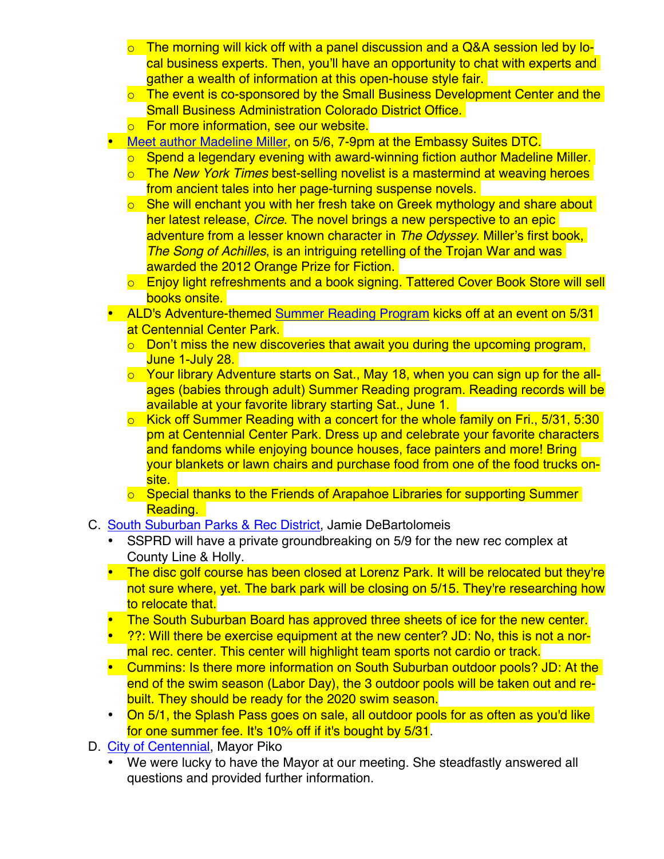- o The morning will kick off with a panel discussion and a Q&A session led by local business experts. Then, you'll have an opportunity to chat with experts and gather a wealth of information at this open-house style fair.
- o The event is co-sponsored by the Small Business Development Center and the Small Business Administration Colorado District Office.
- o For more information, see our website.
- [Meet author Madeline Miller,](https://arapahoelibraries.org/meet-the-author-series/) on 5/6, 7-9pm at the Embassy Suites DTC.
	- o Spend a legendary evening with award-winning fiction author Madeline Miller.
	- o The *New York Times* best-selling novelist is a mastermind at weaving heroes from ancient tales into her page-turning suspense novels.
	- $\circ$  She will enchant you with her fresh take on Greek mythology and share about her latest release, *Circe*. The novel brings a new perspective to an epic adventure from a lesser known character in *The Odyssey*. Miller's first book, *The Song of Achilles*, is an intriguing retelling of the Trojan War and was awarded the 2012 Orange Prize for Fiction.
	- o Enjoy light refreshments and a book signing. Tattered Cover Book Store will sell books onsite.
- ALD's Adventure-themed [Summer Reading Program](https://arapahoelibraries.org/summer-reading-sponsors/) kicks off at an event on 5/31 at Centennial Center Park.
	- o Don't miss the new discoveries that await you during the upcoming program, June 1-July 28.
	- o Your library Adventure starts on Sat., May 18, when you can sign up for the allages (babies through adult) Summer Reading program. Reading records will be available at your favorite library starting Sat., June 1.
	- $\circ$  Kick off Summer Reading with a concert for the whole family on Fri., 5/31, 5:30 pm at Centennial Center Park. Dress up and celebrate your favorite characters and fandoms while enjoying bounce houses, face painters and more! Bring your blankets or lawn chairs and purchase food from one of the food trucks onsite.
	- o Special thanks to the Friends of Arapahoe Libraries for supporting Summer Reading.
- C. [South Suburban Parks & Rec District,](http://www.SSPR.org) Jamie DeBartolomeis
	- SSPRD will have a private groundbreaking on 5/9 for the new rec complex at County Line & Holly.
	- The disc golf course has been closed at Lorenz Park. It will be relocated but they're not sure where, yet. The bark park will be closing on 5/15. They're researching how to relocate that.
	- The South Suburban Board has approved three sheets of ice for the new center.
	- 2?: Will there be exercise equipment at the new center? JD: No, this is not a normal rec. center. This center will highlight team sports not cardio or track.
	- Cummins: Is there more information on South Suburban outdoor pools? JD: At the end of the swim season (Labor Day), the 3 outdoor pools will be taken out and rebuilt. They should be ready for the 2020 swim season.
	- On 5/1, the Splash Pass goes on sale, all outdoor pools for as often as you'd like for one summer fee. It's 10% off if it's bought by 5/31.
- D. [City of Centennial,](http://www.centennialco.gov) Mayor Piko
	- We were lucky to have the Mayor at our meeting. She steadfastly answered all questions and provided further information.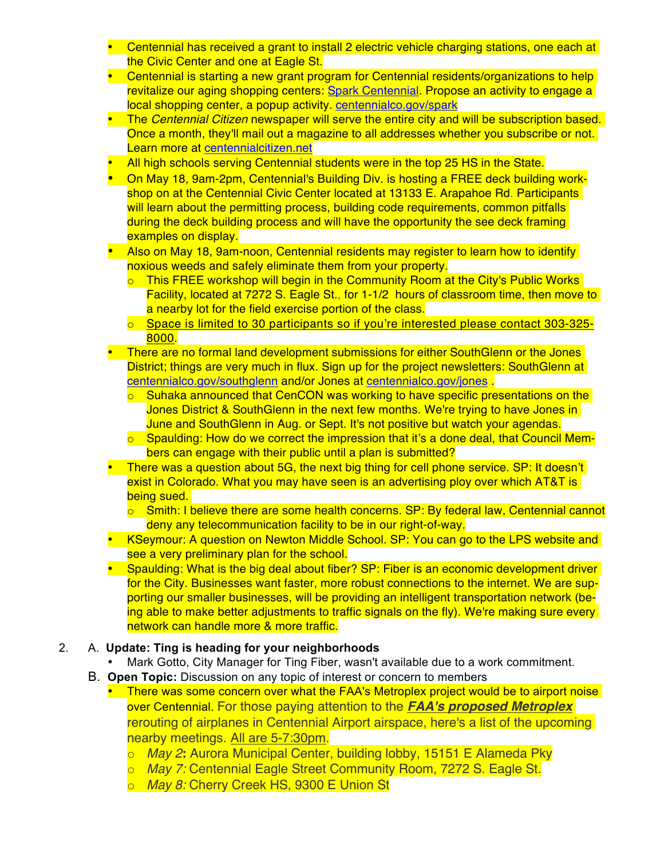- Centennial has received a grant to install 2 electric vehicle charging stations, one each at the Civic Center and one at Eagle St.
- Centennial is starting a new grant program for Centennial residents/organizations to help revitalize our aging shopping centers: [Spark Centennial.](http://www..centennialco.gov/spark) Propose an activity to engage a local shopping center, a popup activity. [centennialco.gov/spark](http://www..centennialco.gov/spark)
- The *Centennial Citizen* newspaper will serve the entire city and will be subscription based. Once a month, they'll mail out a magazine to all addresses whether you subscribe or not. Learn more at [centennialcitizen.net](https://centennialcitizen.net/)
- All high schools serving Centennial students were in the top 25 HS in the State.
- On May 18, 9am-2pm, Centennial's Building Div. is hosting a FREE deck building workshop on at the Centennial Civic Center located at 13133 E. Arapahoe Rd. Participants will learn about the permitting process, building code requirements, common pitfalls during the deck building process and will have the opportunity the see deck framing examples on display.
- Also on May 18, 9am-noon, Centennial residents may register to learn how to identify noxious weeds and safely eliminate them from your property.
	- $\circ$  This FREE workshop will begin in the Community Room at the City's Public Works Facility, located at 7272 S. Eagle St., for 1-1/2 hours of classroom time, then move to a nearby lot for the field exercise portion of the class.
	- $\circ$  Space is limited to 30 participants so if you're interested please contact 303-325-8000.
- There are no formal land development submissions for either SouthGlenn or the Jones District; things are very much in flux. Sign up for the project newsletters: SouthGlenn at [centennialco.gov/southglenn](http://www.centennialco.gov/southglenn) and/or Jones at [centennialco.gov/jones](http://www.centennialco.gov/jones) .
	- Suhaka announced that CenCON was working to have specific presentations on the Jones District & SouthGlenn in the next few months. We're trying to have Jones in June and SouthGlenn in Aug. or Sept. It's not positive but watch your agendas.
	- $\circ$  Spaulding: How do we correct the impression that it's a done deal, that Council Members can engage with their public until a plan is submitted?
- There was a question about 5G, the next big thing for cell phone service. SP: It doesn't exist in Colorado. What you may have seen is an advertising ploy over which AT&T is being sued.
	- $\circ$  Smith: I believe there are some health concerns. SP: By federal law, Centennial cannot deny any telecommunication facility to be in our right-of-way.
- KSeymour: A question on Newton Middle School. SP: You can go to the LPS website and see a very preliminary plan for the school.
- Spaulding: What is the big deal about fiber? SP: Fiber is an economic development driver for the City. Businesses want faster, more robust connections to the internet. We are supporting our smaller businesses, will be providing an intelligent transportation network (being able to make better adjustments to traffic signals on the fly). We're making sure every network can handle more & more traffic.

## 2. A. **Update: Ting is heading for your neighborhoods**

- Mark Gotto, City Manager for Ting Fiber, wasn't available due to a work commitment.
- B. **Open Topic:** Discussion on any topic of interest or concern to members
	- There was some concern over what the FAA's Metroplex project would be to airport noise over Centennial. For those paying attention to the *FAA's proposed Metroplex* rerouting of airplanes in Centennial Airport airspace, here's a list of the upcoming nearby meetings. All are 5-7:30pm.
		- o *May 2***:** Aurora Municipal Center, building lobby, 15151 E Alameda Pky
		- o *May 7:* Centennial Eagle Street Community Room, 7272 S. Eagle St.
		- o *May 8:* Cherry Creek HS, 9300 E Union St